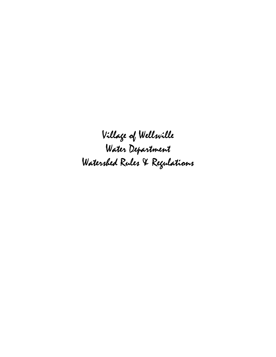Village of Wellsville Water Department Watershed Rules & Regulations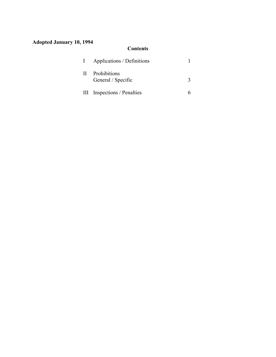# **Adopted January 10, 1994**

## **Contents**

| $\Gamma$ | Applications / Definitions            |  |
|----------|---------------------------------------|--|
|          | II Prohibitions<br>General / Specific |  |
|          | III Inspections / Penalties           |  |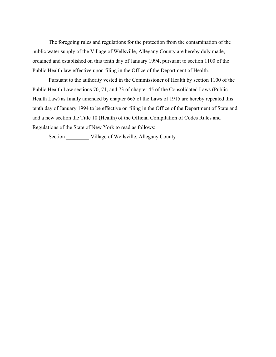The foregoing rules and regulations for the protection from the contamination of the public water supply of the Village of Wellsville, Allegany County are hereby duly made, ordained and established on this tenth day of January 1994, pursuant to section 1100 of the Public Health law effective upon filing in the Office of the Department of Health.

Pursuant to the authority vested in the Commissioner of Health by section 1100 of the Public Health Law sections 70, 71, and 73 of chapter 45 of the Consolidated Laws (Public Health Law) as finally amended by chapter 665 of the Laws of 1915 are hereby repealed this tenth day of January 1994 to be effective on filing in the Office of the Department of State and add a new section the Title 10 (Health) of the Official Compilation of Codes Rules and Regulations of the State of New York to read as follows:

Section \_\_\_\_\_\_\_\_\_ Village of Wellsville, Allegany County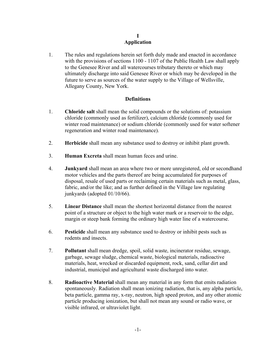#### **I Application**

1. The rules and regulations herein set forth duly made and enacted in accordance with the provisions of sections 1100 - 1107 of the Public Health Law shall apply to the Genesee River and all watercourses tributary thereto or which may ultimately discharge into said Genesee River or which may be developed in the future to serve as sources of the water supply to the Village of Wellsville, Allegany County, New York.

### **Definitions**

- 1. **Chloride salt** shall mean the solid compounds or the solutions of: potassium chloride (commonly used as fertilizer), calcium chloride (commonly used for winter road maintenance) or sodium chloride (commonly used for water softener regeneration and winter road maintenance).
- 2. **Herbicide** shall mean any substance used to destroy or inhibit plant growth.
- 3. **Human Excreta** shall mean human feces and urine.
- 4. **Junkyard** shall mean an area where two or more unregistered, old or secondhand motor vehicles and the parts thereof are being accumulated for purposes of disposal, resale of used parts or reclaiming certain materials such as metal, glass, fabric, and/or the like; and as further defined in the Village law regulating junkyards (adopted 01/10/66).
- 5. **Linear Distance** shall mean the shortest horizontal distance from the nearest point of a structure or object to the high water mark or a reservoir to the edge, margin or steep bank forming the ordinary high water line of a watercourse.
- 6. **Pesticide** shall mean any substance used to destroy or inhibit pests such as rodents and insects.
- 7. **Pollutant** shall mean dredge, spoil, solid waste, incinerator residue, sewage, garbage, sewage sludge, chemical waste, biological materials, radioactive materials, heat, wrecked or discarded equipment, rock, sand, cellar dirt and industrial, municipal and agricultural waste discharged into water.
- 8. **Radioactive Material** shall mean any material in any form that emits radiation spontaneously. Radiation shall mean ionizing radiation, that is, any alpha particle, beta particle, gamma ray, x-ray, neutron, high speed proton, and any other atomic particle producing ionization, but shall not mean any sound or radio wave, or visible infrared, or ultraviolet light.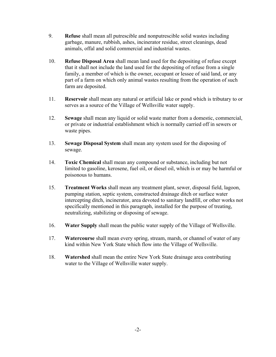- 9. **Refuse** shall mean all putrescible and nonputrescible solid wastes including garbage, manure, rubbish, ashes, incinerator residue, street cleanings, dead animals, offal and solid commercial and industrial wastes.
- 10. **Refuse Disposal Area** shall mean land used for the depositing of refuse except that it shall not include the land used for the depositing of refuse from a single family, a member of which is the owner, occupant or lessee of said land, or any part of a farm on which only animal wastes resulting from the operation of such farm are deposited.
- 11. **Reservoir** shall mean any natural or artificial lake or pond which is tributary to or serves as a source of the Village of Wellsville water supply.
- 12. **Sewage** shall mean any liquid or solid waste matter from a domestic, commercial, or private or industrial establishment which is normally carried off in sewers or waste pipes.
- 13. **Sewage Disposal System** shall mean any system used for the disposing of sewage.
- 14. **Toxic Chemical** shall mean any compound or substance, including but not limited to gasoline, kerosene, fuel oil, or diesel oil, which is or may be harmful or poisonous to humans.
- 15. **Treatment Works** shall mean any treatment plant, sewer, disposal field, lagoon, pumping station, septic system, constructed drainage ditch or surface water intercepting ditch, incinerator, area devoted to sanitary landfill, or other works not specifically mentioned in this paragraph, installed for the purpose of treating, neutralizing, stabilizing or disposing of sewage.
- 16. **Water Supply** shall mean the public water supply of the Village of Wellsville.
- 17. **Watercourse** shall mean every spring, stream, marsh, or channel of water of any kind within New York State which flow into the Village of Wellsville.
- 18. **Watershed** shall mean the entire New York State drainage area contributing water to the Village of Wellsville water supply.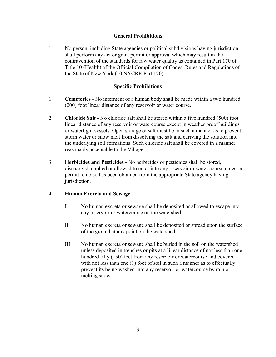### **General Prohibitions**

1. No person, including State agencies or political subdivisions having jurisdiction, shall perform any act or grant permit or approval which may result in the contravention of the standards for raw water quality as contained in Part 170 of Title 10 (Health) of the Official Compilation of Codes, Rules and Regulations of the State of New York (10 NYCRR Part 170)

### **Specific Prohibitions**

- 1. **Cemeteries** No interment of a human body shall be made within a two hundred (200) foot linear distance of any reservoir or water course.
- 2. **Chloride Salt** No chloride salt shall be stored within a five hundred (500) foot linear distance of any reservoir or watercourse except in weather proof buildings or watertight vessels. Open storage of salt must be in such a manner as to prevent storm water or snow melt from dissolving the salt and carrying the solution into the underlying soil formations. Such chloride salt shall be covered in a manner reasonably acceptable to the Village.
- 3. **Herbicides and Pesticides** No herbicides or pesticides shall be stored, discharged, applied or allowed to enter into any reservoir or water course unless a permit to do so has been obtained from the appropriate State agency having jurisdiction.

#### **4. Human Excreta and Sewage**

- I No human excreta or sewage shall be deposited or allowed to escape into any reservoir or watercourse on the watershed.
- II No human excreta or sewage shall be deposited or spread upon the surface of the ground at any point on the watershed.
- III No human excreta or sewage shall be buried in the soil on the watershed unless deposited in trenches or pits at a linear distance of not less than one hundred fifty (150) feet from any reservoir or watercourse and covered with not less than one (1) foot of soil in such a manner as to effectually prevent its being washed into any reservoir or watercourse by rain or melting snow.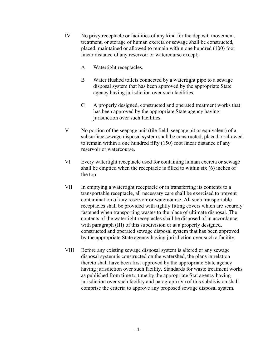- IV No privy receptacle or facilities of any kind for the deposit, movement, treatment, or storage of human excreta or sewage shall be constructed, placed, maintained or allowed to remain within one hundred (100) foot linear distance of any reservoir or watercourse except;
	- A Watertight receptacles.
	- B Water flushed toilets connected by a watertight pipe to a sewage disposal system that has been approved by the appropriate State agency having jurisdiction over such facilities.
	- C A properly designed, constructed and operated treatment works that has been approved by the appropriate State agency having jurisdiction over such facilities.
- V No portion of the seepage unit (tile field, seepage pit or equivalent) of a subsurface sewage disposal system shall be constructed, placed or allowed to remain within a one hundred fifty (150) foot linear distance of any reservoir or watercourse.
- VI Every watertight receptacle used for containing human excreta or sewage shall be emptied when the receptacle is filled to within six (6) inches of the top.
- VII In emptying a watertight receptacle or in transferring its contents to a transportable receptacle, all necessary care shall be exercised to prevent contamination of any reservoir or watercourse. All such transportable receptacles shall be provided with tightly fitting covers which are securely fastened when transporting wastes to the place of ultimate disposal. The contents of the watertight receptacles shall be disposed of in accordance with paragraph (III) of this subdivision or at a properly designed, constructed and operated sewage disposal system that has been approved by the appropriate State agency having jurisdiction over such a facility.
- VIII Before any existing sewage disposal system is altered or any sewage disposal system is constructed on the watershed, the plans in relation thereto shall have been first approved by the appropriate State agency having jurisdiction over such facility. Standards for waste treatment works as published from time to time by the appropriate Stat agency having jurisdiction over such facility and paragraph (V) of this subdivision shall comprise the criteria to approve any proposed sewage disposal system.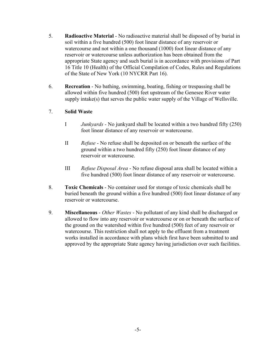- 5. **Radioactive Material** No radioactive material shall be disposed of by burial in soil within a five hundred (500) foot linear distance of any reservoir or watercourse and not within a one thousand (1000) foot linear distance of any reservoir or watercourse unless authorization has been obtained from the appropriate State agency and such burial is in accordance with provisions of Part 16 Title 10 (Health) of the Official Compilation of Codes, Rules and Regulations of the State of New York (10 NYCRR Part 16).
- 6. **Recreation** No bathing, swimming, boating, fishing or trespassing shall be allowed within five hundred (500) feet upstream of the Genesee River water supply intake(s) that serves the public water supply of the Village of Wellsville.

### 7. **Solid Waste**

- I *Junkyards -* No junkyard shall be located within a two hundred fifty (250) foot linear distance of any reservoir or watercourse.
- II *Refuse* No refuse shall be deposited on or beneath the surface of the ground within a two hundred fifty (250) foot linear distance of any reservoir or watercourse.
- III *Refuse Disposal Area* No refuse disposal area shall be located within a five hundred (500) foot linear distance of any reservoir or watercourse.
- 8. **Toxic Chemicals** No container used for storage of toxic chemicals shall be buried beneath the ground within a five hundred (500) foot linear distance of any reservoir or watercourse.
- 9. **Miscellaneous** *Other Wastes* No pollutant of any kind shall be discharged or allowed to flow into any reservoir or watercourse or on or beneath the surface of the ground on the watershed within five hundred (500) feet of any reservoir or watercourse. This restriction shall not apply to the effluent from a treatment works installed in accordance with plans which first have been submitted to and approved by the appropriate State agency having jurisdiction over such facilities.